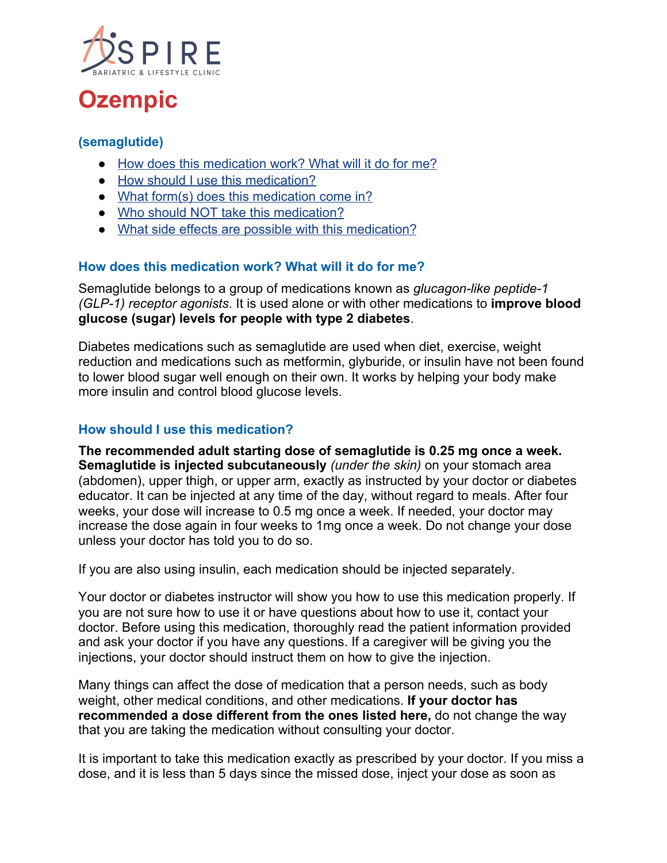

# **Ozempic**

## **(semaglutide)**

- [How does this medication work? What will it do for me?](https://www.costcopharmacy.ca/HealthInformationDrug.aspx?id=8515#Itemd_Indication)
- [How should I use this medication?](https://www.costcopharmacy.ca/HealthInformationDrug.aspx?id=8515#Itemd_Dosage)
- [What form\(s\) does this medication come in?](https://www.costcopharmacy.ca/HealthInformationDrug.aspx?id=8515#Itemd_AvailableForm)
- [Who should NOT take this medication?](https://www.costcopharmacy.ca/HealthInformationDrug.aspx?id=8515#Itemd_ContraIndications)
- [What side effects are possible with this medication?](https://www.costcopharmacy.ca/HealthInformationDrug.aspx?id=8515#Itemd_AdverseEffects)

### **How does this medication work? What will it do for me?**

Semaglutide belongs to a group of medications known as *glucagon-like peptide-1 (GLP-1) receptor agonists*. It is used alone or with other medications to **improve blood glucose (sugar) levels for people with type 2 diabetes**.

Diabetes medications such as semaglutide are used when diet, exercise, weight reduction and medications such as metformin, glyburide, or insulin have not been found to lower blood sugar well enough on their own. It works by helping your body make more insulin and control blood glucose levels.

#### **How should I use this medication?**

**The recommended adult starting dose of semaglutide is 0.25 mg once a week. Semaglutide is injected subcutaneously** *(under the skin)* on your stomach area (abdomen), upper thigh, or upper arm, exactly as instructed by your doctor or diabetes educator. It can be injected at any time of the day, without regard to meals. After four weeks, your dose will increase to 0.5 mg once a week. If needed, your doctor may increase the dose again in four weeks to 1mg once a week. Do not change your dose unless your doctor has told you to do so.

If you are also using insulin, each medication should be injected separately.

Your doctor or diabetes instructor will show you how to use this medication properly. If you are not sure how to use it or have questions about how to use it, contact your doctor. Before using this medication, thoroughly read the patient information provided and ask your doctor if you have any questions. If a caregiver will be giving you the injections, your doctor should instruct them on how to give the injection.

Many things can affect the dose of medication that a person needs, such as body weight, other medical conditions, and other medications. **If your doctor has recommended a dose different from the ones listed here,** do not change the way that you are taking the medication without consulting your doctor.

It is important to take this medication exactly as prescribed by your doctor. If you miss a dose, and it is less than 5 days since the missed dose, inject your dose as soon as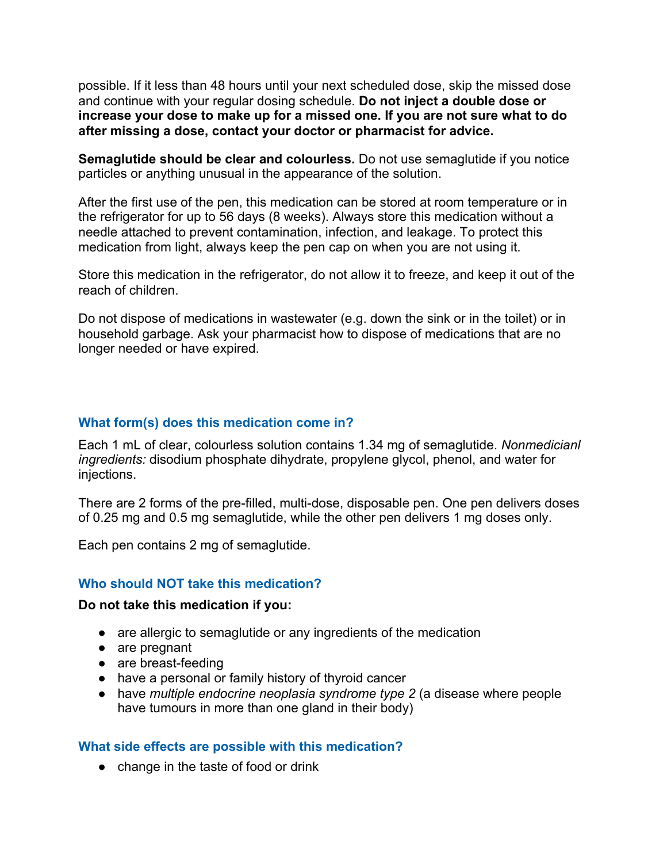possible. If it less than 48 hours until your next scheduled dose, skip the missed dose and continue with your regular dosing schedule. **Do not inject a double dose or increase your dose to make up for a missed one. If you are not sure what to do after missing a dose, contact your doctor or pharmacist for advice.**

**Semaglutide should be clear and colourless.** Do not use semaglutide if you notice particles or anything unusual in the appearance of the solution.

After the first use of the pen, this medication can be stored at room temperature or in the refrigerator for up to 56 days (8 weeks). Always store this medication without a needle attached to prevent contamination, infection, and leakage. To protect this medication from light, always keep the pen cap on when you are not using it.

Store this medication in the refrigerator, do not allow it to freeze, and keep it out of the reach of children.

Do not dispose of medications in wastewater (e.g. down the sink or in the toilet) or in household garbage. Ask your pharmacist how to dispose of medications that are no longer needed or have expired.

#### **What form(s) does this medication come in?**

Each 1 mL of clear, colourless solution contains 1.34 mg of semaglutide. *Nonmedicianl ingredients:* disodium phosphate dihydrate, propylene glycol, phenol, and water for injections.

There are 2 forms of the pre-filled, multi-dose, disposable pen. One pen delivers doses of 0.25 mg and 0.5 mg semaglutide, while the other pen delivers 1 mg doses only.

Each pen contains 2 mg of semaglutide.

#### **Who should NOT take this medication?**

#### **Do not take this medication if you:**

- are allergic to semaglutide or any ingredients of the medication
- are pregnant
- are breast-feeding
- have a personal or family history of thyroid cancer
- have *multiple endocrine neoplasia syndrome type 2* (a disease where people have tumours in more than one gland in their body)

#### **What side effects are possible with this medication?**

• change in the taste of food or drink